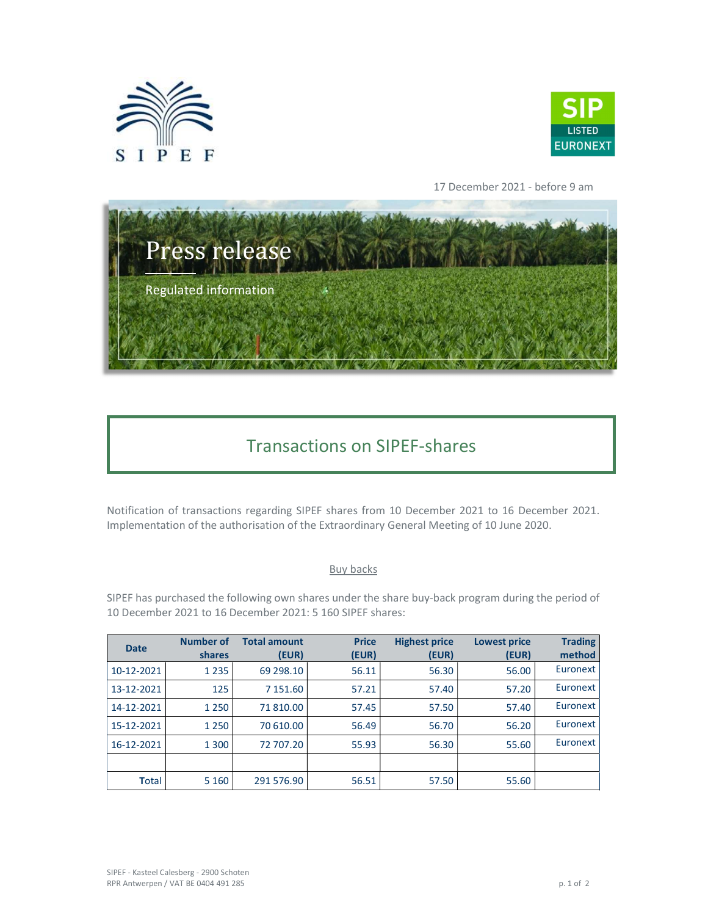



17 December 2021 - before 9 am



## Transactions on SIPEF-shares

Notification of transactions regarding SIPEF shares from 10 December 2021 to 16 December 2021. Implementation of the authorisation of the Extraordinary General Meeting of 10 June 2020.

## Buy backs

SIPEF has purchased the following own shares under the share buy-back program during the period of 10 December 2021 to 16 December 2021: 5 160 SIPEF shares:

| <b>Date</b> | <b>Number of</b><br>shares | <b>Total amount</b><br>(EUR) | <b>Price</b><br>(EUR) | <b>Highest price</b><br>(EUR) | <b>Lowest price</b><br>(EUR) | <b>Trading</b><br>method |
|-------------|----------------------------|------------------------------|-----------------------|-------------------------------|------------------------------|--------------------------|
| 10-12-2021  | 1 2 3 5                    | 69 298.10                    | 56.11                 | 56.30                         | 56.00                        | Euronext                 |
| 13-12-2021  | 125                        | 7 151.60                     | 57.21                 | 57.40                         | 57.20                        | Euronext                 |
| 14-12-2021  | 1 2 5 0                    | 71 810.00                    | 57.45                 | 57.50                         | 57.40                        | Euronext                 |
| 15-12-2021  | 1 2 5 0                    | 70 610.00                    | 56.49                 | 56.70                         | 56.20                        | Euronext                 |
| 16-12-2021  | 1 3 0 0                    | 72 707.20                    | 55.93                 | 56.30                         | 55.60                        | Euronext                 |
|             |                            |                              |                       |                               |                              |                          |
| Total       | 5 1 6 0                    | 291 576.90                   | 56.51                 | 57.50                         | 55.60                        |                          |